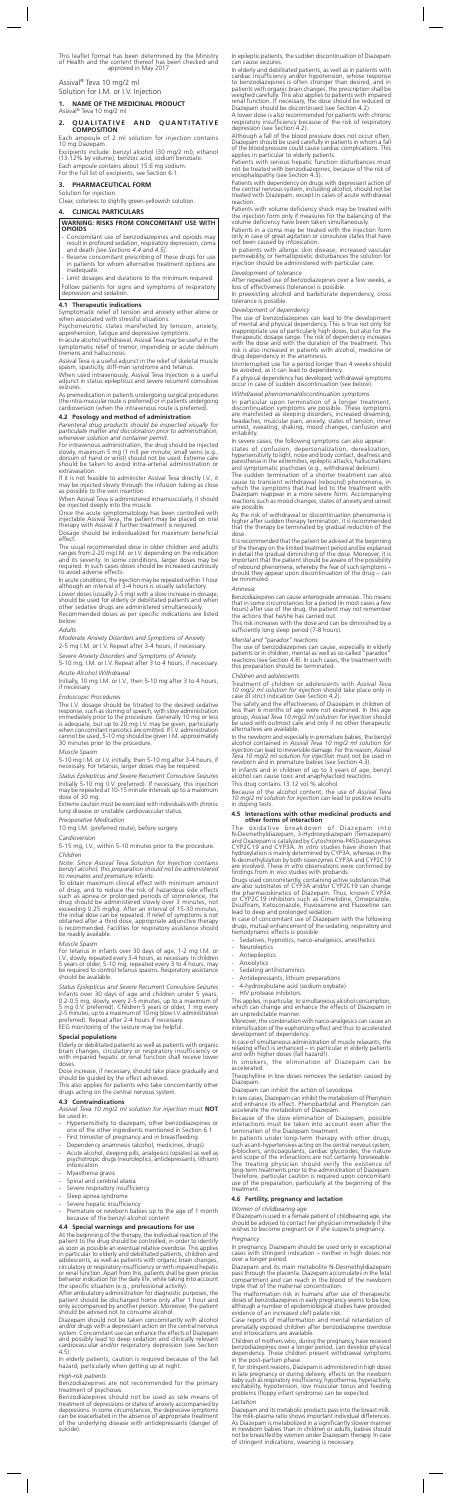This leaflet format has been determined by the Ministry<br>of Health and the content thereof has been checked and<br>approved in May 2017

Assival<sup>®</sup> Teva 10 mg/2 ml Solution for I.M. or I.V. Injection

1. NAME OF THE MEDICINAL PRODUCT

Assival® Teva 10 mg/2 m

### **2 OUALITATIVE AND OUANTITATIVE COMPOSITION**

Each ampoule of 2 ml solution for injection contains<br>10 mg Diazepam. Excipients include: benzyl alcohol (30 mg/2 ml), ethanol<br>(13.12% by volume), benzoic acid, sodium benzoate.

Each ampoule contains about 15.6 mg sodium. For the full list of excipients, see Section 6.1.

### **FORM PHARMACEUTICAL 3.** Solution for injection.

Clear, colorless to slightly green-yellowish solution.

### **WARNING: RISKS FROM CONCOMITANT USE WITH OPIOIDS**

- Concomitant use of benzodiazepines and opioids may<br>result in profound sedation, respiratory depression, coma<br>and death *[see Sections 4.4 and 4.5]*.
- Reserve concomitant prescribing of these drugs for use<br>in patients for whom alternative treatment options are .inadequate

Limit dosages and durations to the minimum required Follow patients for signs and symptoms of respiratory

depression and sedation

**PARTICULARS CLINICAL 4.**

When used intravenously, Assival Teva Injection is a useful<br>adjunct in status epilepticus and severe recurrent convulsive .seizures

As premedication in patients undergoing surgical procedures<br>(the intra-muscular route is preferred) or in patients undergoing<br>cardioversion (when the intravenous route is preferred).

### **4.2 Posology and method of administration**

Parenteral drug products should be inspected visually for<br>particulate matter and discoloration prior to administration, *.permit container and solution whenever*

For intravenous administration, the drug should be injected slowly, maximum 5 mg (1 ml) per minute; small veins (e.g.,<br>dorsum of hand or wrist) should not be used. Extreme care<br>should be taken to avoid intra-arterial administration or extravasation.

If it is not feasible to administer Assival Teva directly I.V., it<br>may be injected slowly through the infusion tubing as close<br>as possible to the vein insertion.

When Assival Teva is administered intramuscularly, it should be injected deeply into the muscle.

Once the acute symptomatology has been controlled with<br>injectable Assival Teva, the patient may be placed on oral<br>therapy with Assival if further treatment is required.

Dosage should be individualized for maximum beneficial effect

The usual recommended dose in older children and adults<br>ranges from 2-20 mg l.M. or l.V. depending on the indication<br>and its severity. In some conditions, larger doses may be<br>required. In such cases doses should be increas

In acute conditions, the injection may be repeated within 1 hour<br>although an interval of 3-4 hours is usually satisfactory.

Lower doses (usually 2-5 mg) with a slow increase in dosage,<br>should be used for elderly or debilitated patients and when<br>other sedative drugs are administered simultaneously.

### **indications Therapeutic 4.1**

Symptomatic relief of tension and anxiety either alone or when associated with stressful situations.

Psychoneurotic states manifested by tension, anxiety, apprehension, fatigue and depressive symptoms.

In acute alcohol withdrawal, Assival Teva may be useful in the symptomatic relief of tremor, impending or acute delirium<br>tremens and hallucinosis.

Assival Teva is a useful adjunct in the relief of skeletal muscle spasm, spasticity, stiff-man syndrome and tetanus.

Recommended doses as per specific indications are listed :below

*Anxiety of Symptoms and Disorders Anxiety Severe* 5-10 mg, I.M. or I.V. Repeat after 3 to 4 hours, if necessary.

*Withdrawal Alcohol Acute* Initially, 10 mg I.M. or I.V., then 5-10 mg after 3 to 4 hours, if necessary.

*Seizures Convulsive Recurrent Severe and Epilepticus Status* Initially 5-10 mg (I.V. preferred). If necessary, this injection<br>may be repeated at 10-15 minute intervals up to a maximum<br>dose of 30 mg.

Extreme caution must be exercised with individuals with chronic<br>lung disease or unstable cardiovascular status.

*Medication Preoperative* 10 mg I.M. (preferred route), before surgery.

Elderly or debilitated patients as well as patients with organic<br>brain changes, circulatory or respiratory insufficiency or<br>with impaired hepatic or renal function shall receive lower .doses

Dose increase, if necessary, should take place gradually and<br>should be guided by the effect achieved.

This also applies for patients who take concomitantly other<br>drugs acting on the central nervous system.

### *Adults*

*Anxiety of Symptoms and Disorders Anxiety Moderate*

2-5 mg I.M. or I.V. Repeat after 3-4 hours, if necessary.

### *Procedures Endoscopic*

The I.V. dosage should be titrated to the desired sedative<br>response, such as slurring of speech, with slow administration<br>immediately prior to the procedure. Generally 10 mg or less<br>is adequate, but up to 20 mg I.V. may be

### *Spasm Muscle*

5-10 mg I.M. or I.V. initially, then 5-10 mg after 3-4 hours, if<br>necessary. For tetanus, larger doses may be required.

*Cardioversion*

5-15 mg, I.V., within 5-10 minutes prior to the procedure

In epileptic patients, the sudden discontinuation of Diazepam<br>can cause seizures.

In elderly and debilitated patients, as well as in patients with<br>cardiac insufficiency and/or hypotension, whose response<br>to benzodiazepines is often stronger than desired, and in<br>patients with organic brain changes, the p

A lower dose is also recommended for patients with chronic<br>respiratory insufficiency because of the risk of respiratory<br>depression (see Section 4.2).

Although a fall of the blood pressure does not occur often,<br>Diazepam should be used carefully in patients in whom a fall<br>of the blood pressure could cause cardiac complications. This<br>applies in particular to elderly patien

Patients with serious hepatic function disturbances must<br>not be treated with benzodiazepines, because of the risk of<br>encephalopathy (see Section 4.3).

#### *Children*

Note: Since Assival Teva Solution for Injection contains<br>benzyl alcohol, this preparation should not be administered<br>to neonates and premature infants.

To obtain maximum clinical effect with minimum amount<br>of drug, and to reduce the risk of hazardous side effects<br>such as appea or prolonged periods of somnolence, the<br>drug should be administered slowly over 3 minutes, not<br> be readily available.

### **Muscle** Spasm

For tetanus in infants over 30 days of age, 1-2 mg I.M. or<br>I.V., slowly, repeated every 3-4 hours, as necessary. In children<br>5 years or older, 5-10 mg, repeated every 3 to 4 hours, may<br>be required to control tetanus spasms should be available.

**Status Epilepticus and Severe Recurrent Convulsive Seizures** Infants over 30 days of age and children under 5 years,<br>0.2-0.5 mg, slowly, every 2-5 minutes, up to a maximum of<br>5 mg (I.V. preferred). Children 5 years or older, 1 mg every<br>2-5 minutes, up to a maximum of 10 mg (slow I.V

EEG monitoring of the seizure may be helpful.

### **Special populations**

Patients with dependency on drugs with depressant action of<br>the central nervous system, including alcohol, should not be<br>treated with Diazepam, except in cases of acute withdrawal .reaction

Patients with volume deficiency shock may be treated with the injection form only if measures for the balancing of the volume deficiency have been taken simultaneously.

Patients in a coma may be treated with the injection form only in case of great agitation or convulsive states that have<br>not been caused by intoxication.

In patients with allergic skin disease, increased vascular<br>permeability, or hematopoietic disturbances the solution for<br>injection should be administered with particular care.

Development of tolerance

After repeated use of benzodiazepines over a few weeks, a<br>loss of effectiveness (tolerance) is possible.

preexisting alcohol and barbiturate dependency, cross tolerance is possible

As the risk of withdrawal or discontinuation phenomena is<br>higher after sudden therapy termination, it is recommended<br>that the therapy be terminated by gradual reduction of the .dose

It is recommended that the patient be advised at the beginning<br>of the therapy on the limited tradinationer in detail the gradual diminishing of the dose. Moreover, it is<br>important that the patient should be aware of the po be minimized

### **Contraindications 4.3**

Assival Teva 10 mg/2 ml solution for injection must **NOT** be used in:

- Hypersensitivity to diazepam, other benzodiazepines or<br>one of the other ingredients mentioned in Section 6.1
- First trimester of pregnancy and in breastfeeding
- Dependency anamnesis (alcohol, medicines, drugs)
- Acute alcohol, sleeping pills, analgesics (opiates) as well as<br>psychotropic drugs (neuroleptics, antidepressants, lithium)<br>intoxication
- Myasthenia gravis
- Spinal and cerebral ataxia
- Severe respiratory insufficiency
- Sleep apnea syndrome
- Severe hepatic insufficiency
- Premature or newborn babies up to the age of 1 month because of the benzyl alcohol content

### **4.4 Special warnings and precautions for use**

At the beginning of the therapy, the individual reaction of the patient to the drug should be controlled, in order to identify as soon as possible an eventual relative overdose. This applies in particular to elderly and de

After ambulatory administration for diagnostic purposes, the<br>patient should be discharged home only after 1 hour and<br>only accompanied by another person. Moreover, the patient<br>should be advised not to consume alcohol.

Diazepam should not be taken concomitantly with alcohol<br>and/or drugs with a depressant action on the central nervous<br>system. Concomitant use can enhance the effects of Diazepam<br>and possibly lead to deep sedation and clinic

In elderly patients, caution is required because of the fall<br>hazard, particularly when getting up at night.

### **High-risk patients**

Benzodiazepines are not recommended for the primary<br>treatment of psychoses.

Benzodiazepines should not be used as sole means of<br>treatment of depressions or states of anxiety accompanied by depressions. In some circumstances, the depressive symptoms<br>can be exacerbated in the absence of appropriate treatment<br>of the underlying disease with antidepressants (danger of suicide).

In case of concomitant use of Diazepam with the following<br>drugs, mutual enhancement of the sedating, respiratory and<br>hemodynamic effects is possible:

- Sedatives, hypnotics, narco-analgesics, anesthetics
- Neuroleptics
- Antiepileptics
- **Anxiolytics**
- Sedating antihistaminics
- Antidepressants, lithium preparations
- 4-hydroxybutane acid (sodium oxybate)
- HIV protease inhibitors

This applies, in particular, to simultaneous alcohol consumption,<br>which can change and enhance the effects of Diazepam in<br>an unpredictable manner.

Moreover, the combination with narco-analgesics can cause an<br>intensification of the euphorizing effect and thus to accelerated<br>development of dependency.

In case of simultaneous administration of muscle relaxants, the<br>relaxing effect is enhanced – in particular in elderly patients<br>and with higher doses (fall hazard!).

In smokers, the elimination of Diazepam can be<br>accelerated.

Theophylline in low doses removes the sedation caused by<br>Diazepam.

Diazepam can inhibit the action of Levodopa.

In rare cases, Diazepam can inhibit the metabolism of Phenytoin<br>and enhance its effect. Phenobarbital and Phenytoin can<br>accelerate the metabolism of Diazepam.

Because of the slow elimination of Diazepam, possible<br>interactions must be taken into account even after the<br>termination of the Diazepam treatment.

In patients under long-term therapy with other drugs,<br>such as anti-hypertensives acting on the central nervous system,<br>β-blockers, anticoagulants, cardiac glycosides, the nature<br>and scope of the interactions are not certai

### **4.6 Fertility, pregnancy and lactation**

### *Women of childbearing age*

If Diazepam is used in a female patient of childbearing age, she<br>should be advised to contact her physician immediately if she should be advised to contact her physician immediately if s<br>wishes to become pregnant or if she suspects pregnancy.

*dependency of Development*

The use of benzodiazepines can lead to the development of mental and physical dependency. This is true not only for<br>inappropriate use of particularly high doses, but also for the<br>therapeutic dosage range. The risk of dependency increases<br>with the dose and with the duration of

Uninterrupted use for a period longer than 4 weeks should<br>be avoided, as it can lead to dependency.

If a physical dependency has developed, withdrawal symptoms<br>occur in case of sudden discontinuation (see below).

Withdrawal phenomena/discontinuation symptoms

In particular upon termination of a longer treatment, discontinuation symptoms are possible. These symptoms are manifested as sleeping disorders, increased dreaming, headaches, muscular pain, anxiety, states of tension, in

In severe cases, the following symptoms can also appear: states of confusion, depersonalization, derealization,<br>hypersensitivity to light, noise and body contact, deafness and<br>paresthesia in the extremities, epileptic attacks, hallucinations<br>and symptomatic psychoses (e.g., with

The sudden termination of a shorter treatment can also<br>cause to transient withdrawal (rebound) phenomena, in<br>which the symptoms that had led to the treatment with<br>Diazepam reappear in a more severe form. Accompanying<br>react

#### *Amnesia*

Benzodiazepines can cause anterograde amnesias. This means<br>that in some circumstances for a period (in most cases a few<br>hours) after use of the drug, the patient may not remember<br>the actions that he/she has carried out.

This risk increases with the dose and can be diminished by a<br>sufficiently long sleep period (7-8 hours).

### *Mental and "paradox" reactions*

The use of benzodiazepines can cause, especially in elderly<br>patients or in children, mental as well as so-called "paradox"<br>reactions (see Section 4.8). In such cases, the treatment with<br>this preparation should be terminate

### *adolescents and Children*

Treatment of children or adolescents with *Assival Teva*<br>*10 mg/2 ml solution for injection* should take place only in<br>case of strict indication (see Section 4.2).

The safety and the effectiveness of Diazepam in children of<br>less than 6 months of age were not examined. In this age<br>group, Assival Teva 10 mg/2 ml solution for injection should<br>be used with outmost care and only if no oth alternatives are available

In the newborn and especially in premature babies, the benzyl<br>alcohol contained in Assival Teva 10 mg/2 ml solution for<br>injection can lead to irreversible damage. For this reason, Assival<br>Teva 10 mg/2 ml solution for inje

In infants and in children of up to 3 years of age, benzyl<br>alcohol can cause toxic and anaphylactoid reactions.

This drug contains 13.12 vol.% alcohol.

Because of the alcohol content, the use of *Assival Teva*<br>10 mg/2 ml solution for injection can lead to positive results<br>in doping tests.

# **4.5** Interactions with other medicinal products and other forms of interaction

into Diaze Diazem of Diazepam into The oxidative breakdown of Diazepam into N-Desmethyldiazepam, 3-Hydroxydiazepam (Temazepam)<br>and Oxazepam is catalyzed by Cytochrome-P450-isoenzymes<br>CYP2C19 and CYP3A. *In vitro st*udies have shown that<br>hydroxylation is mainly determined by CYP3A, whereas in the N-desmethylization by both isoenzymes CYP3A and CYP2C19<br>are involved. These *in vitro observations were confirmed by*<br>findings from *in vivo st*udies with probands. Drugs used concomitantly, containing active substances that<br>are also substrates of CYP3A and/or CYP2C19 can change<br>the pharmacokinetics of Diazepam. Thus, known CYP3A<br>or CYP2C19 inhibitors such as Cimetidine, Omeprazole,<br>D

#### *Pregnancy*

In pregnancy, Diazepam should be used only in exceptional<br>cases with stringent indication – neither in high doses nor<br>over a longer period.

Diazepam and its main metabolite N-Desmethyldiazepam<br>pass through the placenta. Diazepam accumulates in the fetal<br>compartment and can reach in the blood of the newborn triple that of the maternal concentration.

The malformation risk in humans after use of therapeutic doses of benzodiazepines in early pregnancy seems to be low,<br>although a number of epidemiological studies have provided<br>evidence of an increased cleft palate risk.

Case reports of malformation and mental retardation of<br>prenatally exposed children after benzodiazepine overdose and intoxications are available.

Children of mothers who, during the pregnancy, have received<br>benzodiazepines over a longer period, can develop physical<br>dependency. These children present withdrawal symptoms in the post-partum phase.

If, for stringent reasons, Diazepam is administered in high doses<br>in late pregnancy or during delivery, effects on the newborn<br>baby such as respiratory insufficiency, hypothermia, hyperactivity,<br>excitability, hypotension,

### *Lactation*

Diazepam and its metabolic products pass into the breast milk.<br>The milk-plasma ratio shows important individual differences.<br>As Diazepam is metabolized in a significantly slower manner<br>in newborn babies than in children or